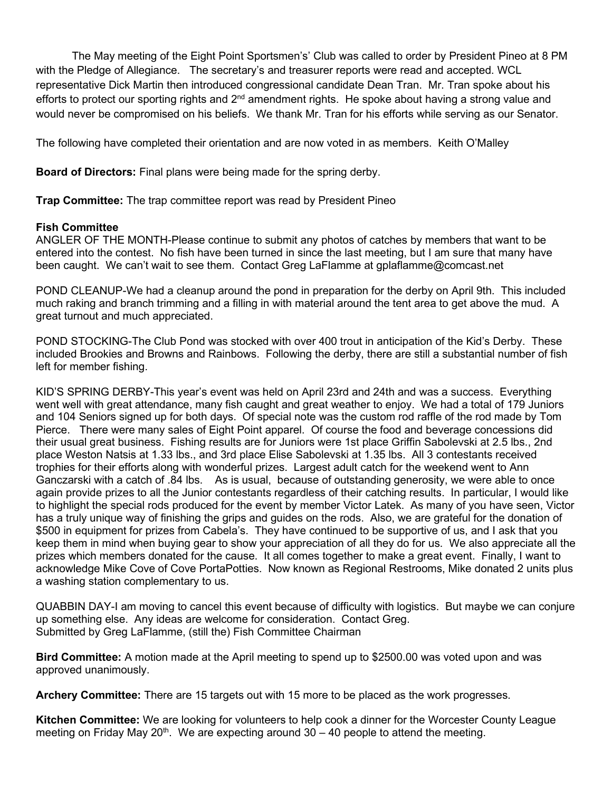The May meeting of the Eight Point Sportsmen's' Club was called to order by President Pineo at 8 PM with the Pledge of Allegiance. The secretary's and treasurer reports were read and accepted. WCL representative Dick Martin then introduced congressional candidate Dean Tran. Mr. Tran spoke about his efforts to protect our sporting rights and  $2<sup>nd</sup>$  amendment rights. He spoke about having a strong value and would never be compromised on his beliefs. We thank Mr. Tran for his efforts while serving as our Senator.

The following have completed their orientation and are now voted in as members. Keith O'Malley

**Board of Directors:** Final plans were being made for the spring derby.

**Trap Committee:** The trap committee report was read by President Pineo

## **Fish Committee**

ANGLER OF THE MONTH-Please continue to submit any photos of catches by members that want to be entered into the contest. No fish have been turned in since the last meeting, but I am sure that many have been caught. We can't wait to see them. Contact Greg LaFlamme at gplaflamme@comcast.net

POND CLEANUP-We had a cleanup around the pond in preparation for the derby on April 9th. This included much raking and branch trimming and a filling in with material around the tent area to get above the mud. A great turnout and much appreciated.

POND STOCKING-The Club Pond was stocked with over 400 trout in anticipation of the Kid's Derby. These included Brookies and Browns and Rainbows. Following the derby, there are still a substantial number of fish left for member fishing.

KID'S SPRING DERBY-This year's event was held on April 23rd and 24th and was a success. Everything went well with great attendance, many fish caught and great weather to enjoy. We had a total of 179 Juniors and 104 Seniors signed up for both days. Of special note was the custom rod raffle of the rod made by Tom Pierce. There were many sales of Eight Point apparel. Of course the food and beverage concessions did their usual great business. Fishing results are for Juniors were 1st place Griffin Sabolevski at 2.5 lbs., 2nd place Weston Natsis at 1.33 lbs., and 3rd place Elise Sabolevski at 1.35 lbs. All 3 contestants received trophies for their efforts along with wonderful prizes. Largest adult catch for the weekend went to Ann Ganczarski with a catch of .84 lbs. As is usual, because of outstanding generosity, we were able to once again provide prizes to all the Junior contestants regardless of their catching results. In particular, I would like to highlight the special rods produced for the event by member Victor Latek. As many of you have seen, Victor has a truly unique way of finishing the grips and guides on the rods. Also, we are grateful for the donation of \$500 in equipment for prizes from Cabela's. They have continued to be supportive of us, and I ask that you keep them in mind when buying gear to show your appreciation of all they do for us. We also appreciate all the prizes which members donated for the cause. It all comes together to make a great event. Finally, I want to acknowledge Mike Cove of Cove PortaPotties. Now known as Regional Restrooms, Mike donated 2 units plus a washing station complementary to us.

QUABBIN DAY-I am moving to cancel this event because of difficulty with logistics. But maybe we can conjure up something else. Any ideas are welcome for consideration. Contact Greg. Submitted by Greg LaFlamme, (still the) Fish Committee Chairman

**Bird Committee:** A motion made at the April meeting to spend up to \$2500.00 was voted upon and was approved unanimously.

**Archery Committee:** There are 15 targets out with 15 more to be placed as the work progresses.

**Kitchen Committee:** We are looking for volunteers to help cook a dinner for the Worcester County League meeting on Friday May 20<sup>th</sup>. We are expecting around  $30 - 40$  people to attend the meeting.